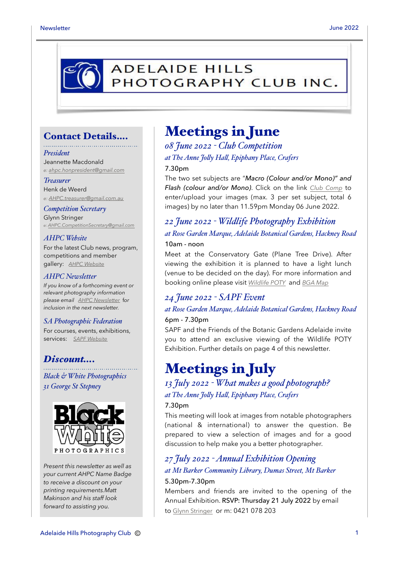

### Contact Details….

#### *President*

Jeannette Macdonald *e: [ahpc.honpresident@gmail.com](mailto:ahpc.honpresident@gmail.com)*

*Treasurer* Henk de Weerd *e: [AHPC.treasurer@gmail.com.au](mailto:AHPC.treasurer@gmail.com.au)*

*Competition Secretary* Glynn Stringer *e: [AHPC.CompetitionSecretary@gmail.com](mailto:AHPC.CompetitionSecretary@gmail.com)*

#### *AHPC Website*

For the latest Club news, program, competitions and member gallery: *[AHPC Website](http://www.adelaidehillsphotographyclub.com.au)*

#### *AHPC Newsletter*

*If you know of a forthcoming event or relevant photography information please email [AHPC Newsletter](mailto:AHPC.newsletter@gmail.com)* f*or inclusion in the next newsletter.* 

#### *SA Photographic Federation*

For courses, events, exhibitions, services: *[SAPF Website](https://www.sapf.org.au)*

### *Discount….*

*Black & White Photographics 31 George St Stepney*



*Present this newsletter as well as your current AHPC Name Badge to receive a discount on your printing requirements.Matt Makinson and his staff look forward to assisting you.*

### Meetings in June

*08 June 2022 - Club Competition at The Anne Jo"y Ha", Epiphany Place, Crafers* 7.30pm

The two set subjects are "*Macro (Colour and/or Mono)" and Flash (colour and/or Mono)*. Click on the link *[Club Comp](http://www.photocompentries.net/?org=AHPC)* to enter/upload your images (max. 3 per set subject, total 6 images) by no later than 11.59pm Monday 06 June 2022.

### *22 June 2022 - Wildlife Photography Exhibition at Rose Garden Marque, Adelaide Botanical Gardens, Hackney Road* 10am - noon

Meet at the Conservatory Gate (Plane Tree Drive). After viewing the exhibition it is planned to have a light lunch (venue to be decided on the day). For more information and booking online please visit *[Wildlife POTY](https://www.botanicgardens.sa.gov.au/whats-on/wildlife-photographer-of-the-year)* and *[BGA Map](https://cdn.environment.sa.gov.au/botanic-gardens/docs/abg_brochure_2019.pdf)*

### *24 June 2022 - SAPF Event*

#### *at Rose Garden Marque, Adelaide Botanical Gardens, Hackney Road*

#### 6pm - 7.30pm

SAPF and the Friends of the Botanic Gardens Adelaide invite you to attend an exclusive viewing of the Wildlife POTY Exhibition. Further details on page 4 of this newsletter.

### Meetings in July

### *13 July 2022 - What makes a good photograph? at The Anne Jo"y Ha", Epiphany Place, Crafers*

#### 7.30pm

This meeting will look at images from notable photographers (national & international) to answer the question. Be prepared to view a selection of images and for a good discussion to help make you a better photographer.

### *27 July 2022 - Annual Exhibition Opening at Mt Barker Community Library, Dumas Street, Mt Barker* 5.30pm-7.30pm

Members and friends are invited to the opening of the Annual Exhibition. RSVP: Thursday 21 July 2022 by email to [Glynn Stringer](mailto:ahpc.competitionsecretary@gmail.com) or m: 0421 078 203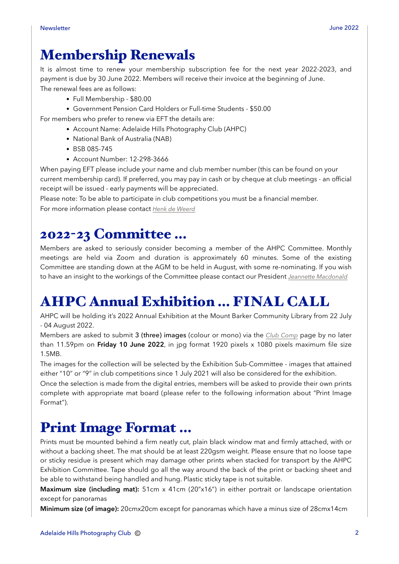# Membership Renewals

It is almost time to renew your membership subscription fee for the next year 2022-2023, and payment is due by 30 June 2022. Members will receive their invoice at the beginning of June. The renewal fees are as follows:

- Full Membership \$80.00
- Government Pension Card Holders or Full-time Students \$50.00

For members who prefer to renew via EFT the details are:

- Account Name: Adelaide Hills Photography Club (AHPC)
- National Bank of Australia (NAB)
- BSB 085-745
- Account Number: 12-298-3666

When paying EFT please include your name and club member number (this can be found on your current membership card). If preferred, you may pay in cash or by cheque at club meetings - an official receipt will be issued - early payments will be appreciated.

Please note: To be able to participate in club competitions you must be a financial member. For more information please contact *[Henk de Weerd](mailto:AHPC.treasurer@gmail.com.au?subject=Membership%20Renewal)*

# 2022-23 Committee …

Members are asked to seriously consider becoming a member of the AHPC Committee. Monthly meetings are held via Zoom and duration is approximately 60 minutes. Some of the existing Committee are standing down at the AGM to be held in August, with some re-nominating. If you wish to have an insight to the workings of the Committee please contact our President *[Jeannette Macdonald](mailto:ahpc.honpresident@gmail.com)*

# AHPC Annual Exhibition … FINAL CALL

AHPC will be holding it's 2022 Annual Exhibition at the Mount Barker Community Library from 22 July - 04 August 2022.

Members are asked to submit 3 (three) images (colour or mono) via the *[Club Comp](http://www.photocompentries.net/?org=AHPC)* page by no later than 11.59pm on **Friday 10 June 2022**, in jpg format 1920 pixels x 1080 pixels maximum file size 1.5MB.

The images for the collection will be selected by the Exhibition Sub-Committee - images that attained either "10" or "9" in club competitions since 1 July 2021 will also be considered for the exhibition.

Once the selection is made from the digital entries, members will be asked to provide their own prints complete with appropriate mat board (please refer to the following information about "Print Image Format").

# Print Image Format …

Prints must be mounted behind a firm neatly cut, plain black window mat and firmly attached, with or without a backing sheet. The mat should be at least 220gsm weight. Please ensure that no loose tape or sticky residue is present which may damage other prints when stacked for transport by the AHPC Exhibition Committee. Tape should go all the way around the back of the print or backing sheet and be able to withstand being handled and hung. Plastic sticky tape is not suitable.

**Maximum size (including mat):** 51cm x 41cm (20"x16") in either portrait or landscape orientation except for panoramas

**Minimum size (of image):** 20cmx20cm except for panoramas which have a minus size of 28cmx14cm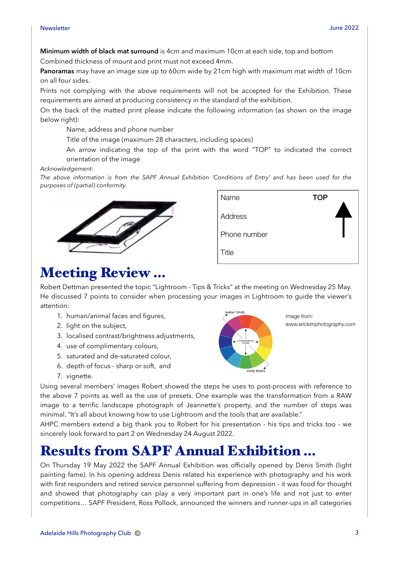**Minimum width of black mat surround** is 4cm and maximum 10cm at each side, top and bottom Combined thickness of mount and print must not exceed 4mm.

**Panoramas** may have an image size up to 60cm wide by 21cm high with maximum mat width of 10cm on all four sides.

Prints not complying with the above requirements will not be accepted for the Exhibition. These requirements are aimed at producing consistency in the standard of the exhibition.

On the back of the matted print please indicate the following information (as shown on the image below right):

Name, address and phone number

Title of the image (maximum 28 characters, including spaces)

 An arrow indicating the top of the print with the word "TOP" to indicated the correct orientation of the image

*Acknowledgement:* 

*The above information is from the SAPF Annual Exhibition 'Conditions of Entry' and has been used for the purposes of (partial) conformity.* 





image from:

**COOL TONE** 

*www.erickimphotography.com*

# Meeting Review …

Robert Dettman presented the topic "Lightroom - Tips & Tricks" at the meeting on Wednesday 25 May. He discussed 7 points to consider when processing your images in Lightroom to guide the viewer's attention: WARM TONES

- 1. human/animal faces and figures,
- 2. light on the subject,
- 3. localised contrast/brightness adjustments,
- 4. use of complimentary colours,
- 5. saturated and de-saturated colour,
- 6. depth of focus sharp or soft, and
- 7. vignette.

Using several members' images Robert showed the steps he uses to post-process with reference to the above 7 points as well as the use of presets. One example was the transformation from a RAW image to a terrific landscape photograph of Jeannette's property, and the number of steps was minimal. "It's all about knowing how to use Lightroom and the tools that are available."

AHPC members extend a big thank you to Robert for his presentation - his tips and tricks too - we sincerely look forward to part 2 on Wednesday 24 August 2022.

# Results from SAPF Annual Exhibition …

On Thursday 19 May 2022 the SAPF Annual Exhibition was officially opened by Denis Smith (light painting fame). In his opening address Denis related his experience with photography and his work with first responders and retired service personnel suffering from depression - it was food for thought and showed that photography can play a very important part in one's life and not just to enter competitions… SAPF President, Ross Pollock, announced the winners and runner-ups in all categories